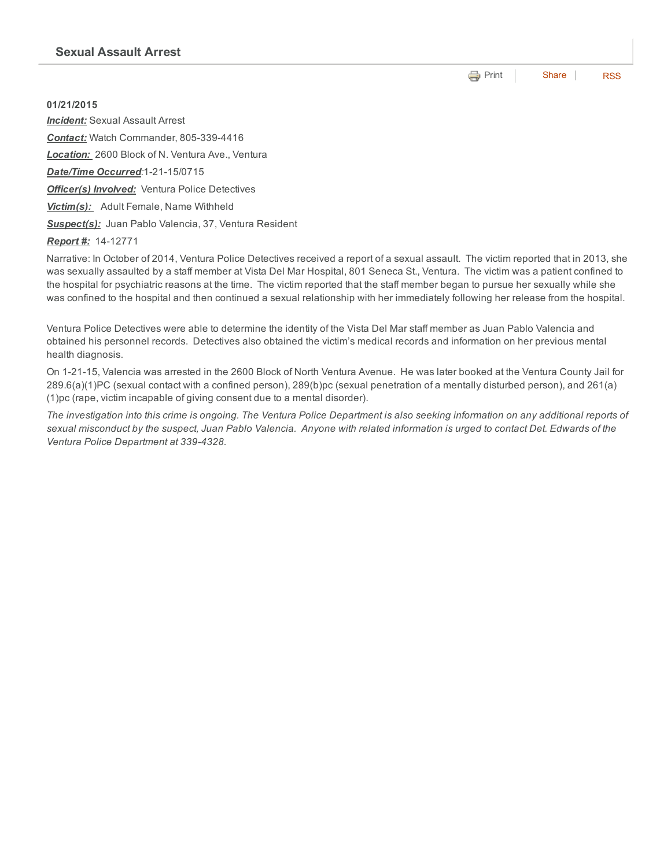**e** [Print](http://www.cityofventura.net/print/16451) | [Share](javascript:void(0)) | [RSS](http://www.cityofventura.net/feed/press_release/rss.xml)

01/21/2015 *Incident:* Sexual Assault Arrest **Contact:** Watch Commander, 805-339-4416 *Location:* 2600 Block of N. Ventura Ave., Ventura **Date/Time Occurred:1-21-15/0715** *Officer(s) Involved:* Ventura Police Detectives *Victim(s):* Adult Female, Name Withheld *Suspect(s):* Juan Pablo Valencia, 37, Ventura Resident

**Report #:** 14-12771

Narrative: In October of 2014, Ventura Police Detectives received a report of a sexual assault. The victim reported that in 2013, she was sexually assaulted by a staff member at Vista Del Mar Hospital, 801 Seneca St., Ventura. The victim was a patient confined to the hospital for psychiatric reasons at the time. The victim reported that the staff member began to pursue her sexually while she was confined to the hospital and then continued a sexual relationship with her immediately following her release from the hospital.

Ventura Police Detectives were able to determine the identity of the Vista Del Mar staff member as Juan Pablo Valencia and obtained his personnel records. Detectives also obtained the victim's medical records and information on her previous mental health diagnosis.

On 12115, Valencia was arrested in the 2600 Block of North Ventura Avenue. He was later booked at the Ventura County Jail for 289.6(a)(1)PC (sexual contact with a confined person), 289(b)pc (sexual penetration of a mentally disturbed person), and 261(a) (1)pc (rape, victim incapable of giving consent due to a mental disorder).

The investigation into this crime is ongoing. The Ventura Police Department is also seeking information on any additional reports of sexual misconduct by the suspect, Juan Pablo Valencia. Anyone with related information is urged to contact Det. Edwards of the *Ventura Police Department at 3394328.*